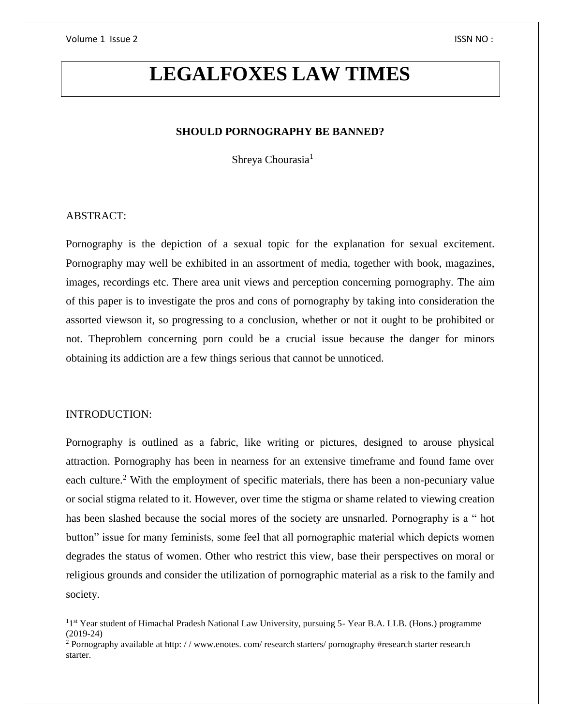# **LEGALFOXES LAW TIMES**

#### **SHOULD PORNOGRAPHY BE BANNED?**

Shreya Chourasia<sup>1</sup>

#### ABSTRACT:

Pornography is the depiction of a sexual topic for the explanation for sexual excitement. Pornography may well be exhibited in an assortment of media, together with book, magazines, images, recordings etc. There area unit views and perception concerning pornography. The aim of this paper is to investigate the pros and cons of pornography by taking into consideration the assorted viewson it, so progressing to a conclusion, whether or not it ought to be prohibited or not. Theproblem concerning porn could be a crucial issue because the danger for minors obtaining its addiction are a few things serious that cannot be unnoticed.

#### INTRODUCTION:

 $\overline{a}$ 

Pornography is outlined as a fabric, like writing or pictures, designed to arouse physical attraction. Pornography has been in nearness for an extensive timeframe and found fame over each culture.<sup>2</sup> With the employment of specific materials, there has been a non-pecuniary value or social stigma related to it. However, over time the stigma or shame related to viewing creation has been slashed because the social mores of the society are unsnarled. Pornography is a " hot button" issue for many feminists, some feel that all pornographic material which depicts women degrades the status of women. Other who restrict this view, base their perspectives on moral or religious grounds and consider the utilization of pornographic material as a risk to the family and society.

<sup>&</sup>lt;sup>1</sup>1<sup>st</sup> Year student of Himachal Pradesh National Law University, pursuing 5- Year B.A. LLB. (Hons.) programme (2019-24)

<sup>&</sup>lt;sup>2</sup> Pornography available at http: //www.enotes.com/research starters/pornography #research starter research starter.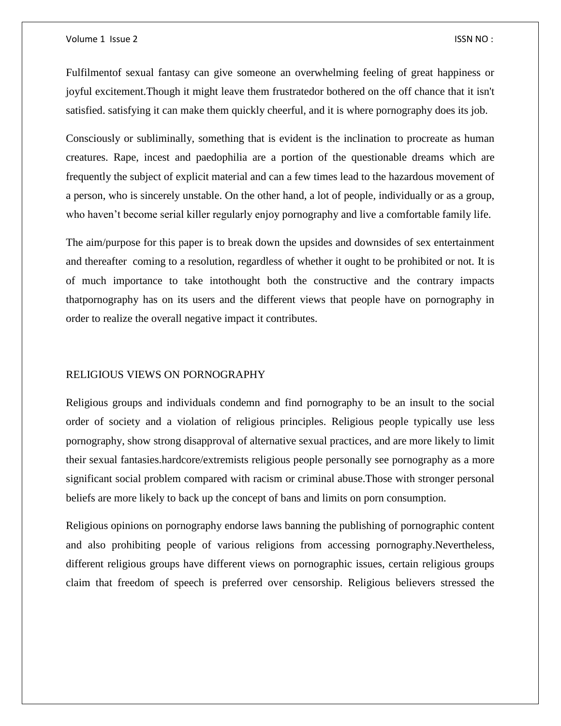Fulfilmentof sexual fantasy can give someone an overwhelming feeling of great happiness or joyful excitement.Though it might leave them frustratedor bothered on the off chance that it isn't satisfied. satisfying it can make them quickly cheerful, and it is where pornography does its job.

Consciously or subliminally, something that is evident is the inclination to procreate as human creatures. Rape, incest and paedophilia are a portion of the questionable dreams which are frequently the subject of explicit material and can a few times lead to the hazardous movement of a person, who is sincerely unstable. On the other hand, a lot of people, individually or as a group, who haven't become serial killer regularly enjoy pornography and live a comfortable family life.

The aim/purpose for this paper is to break down the upsides and downsides of sex entertainment and thereafter coming to a resolution, regardless of whether it ought to be prohibited or not. It is of much importance to take intothought both the constructive and the contrary impacts thatpornography has on its users and the different views that people have on pornography in order to realize the overall negative impact it contributes.

#### RELIGIOUS VIEWS ON PORNOGRAPHY

Religious groups and individuals condemn and find pornography to be an insult to the social order of society and a violation of religious principles. Religious people typically use less pornography, show strong disapproval of alternative sexual practices, and are more likely to limit their sexual fantasies.hardcore/extremists religious people personally see pornography as a more significant social problem compared with racism or criminal abuse.Those with stronger personal beliefs are more likely to back up the concept of bans and limits on porn consumption.

Religious opinions on pornography endorse laws banning the publishing of pornographic content and also prohibiting people of various religions from accessing pornography.Nevertheless, different religious groups have different views on pornographic issues, certain religious groups claim that freedom of speech is preferred over censorship. Religious believers stressed the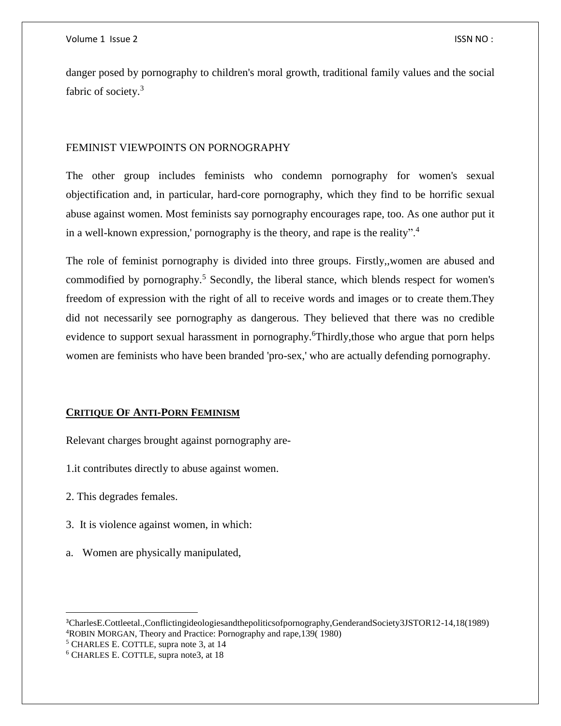danger posed by pornography to children's moral growth, traditional family values and the social fabric of society.<sup>3</sup>

#### FEMINIST VIEWPOINTS ON PORNOGRAPHY

The other group includes feminists who condemn pornography for women's sexual objectification and, in particular, hard-core pornography, which they find to be horrific sexual abuse against women. Most feminists say pornography encourages rape, too. As one author put it in a well-known expression,' pornography is the theory, and rape is the reality".<sup>4</sup>

The role of feminist pornography is divided into three groups. Firstly,,women are abused and commodified by pornography.<sup>5</sup> Secondly, the liberal stance, which blends respect for women's freedom of expression with the right of all to receive words and images or to create them.They did not necessarily see pornography as dangerous. They believed that there was no credible evidence to support sexual harassment in pornography. Thirdly, those who argue that porn helps women are feminists who have been branded 'pro-sex,' who are actually defending pornography.

#### **CRITIQUE OF ANTI-PORN FEMINISM**

Relevant charges brought against pornography are-

1.it contributes directly to abuse against women.

2. This degrades females.

 $\overline{a}$ 

- 3. It is violence against women, in which:
- a. Women are physically manipulated,

<sup>5</sup> CHARLES E. COTTLE, supra note 3, at 14

<sup>3</sup>CharlesE.Cottleetal.,Conflictingideologiesandthepoliticsofpornography,GenderandSociety3JSTOR12-14,18(1989) <sup>4</sup>ROBIN MORGAN, Theory and Practice: Pornography and rape,139( 1980)

<sup>6</sup> CHARLES E. COTTLE, supra note3, at 18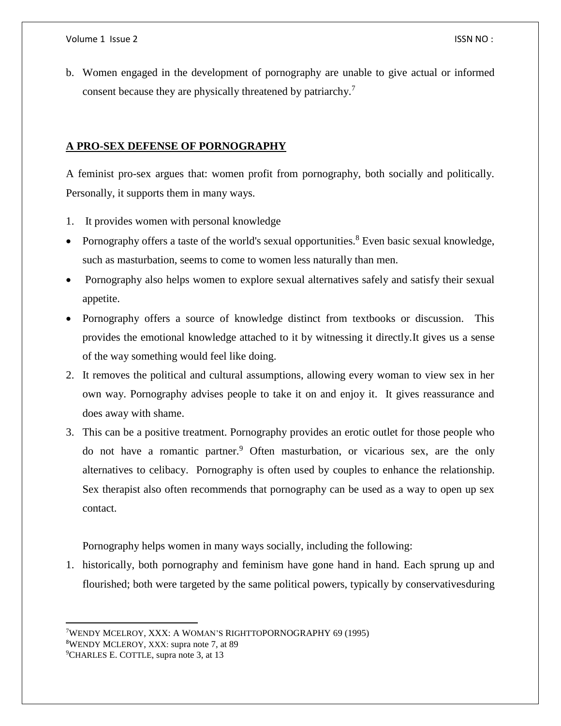$\overline{\phantom{a}}$ 

b. Women engaged in the development of pornography are unable to give actual or informed consent because they are physically threatened by patriarchy.<sup>7</sup>

### **A PRO-SEX DEFENSE OF PORNOGRAPHY**

A feminist pro-sex argues that: women profit from pornography, both socially and politically. Personally, it supports them in many ways.

- 1. It provides women with personal knowledge
- Pornography offers a taste of the world's sexual opportunities.<sup>8</sup> Even basic sexual knowledge, such as masturbation, seems to come to women less naturally than men.
- Pornography also helps women to explore sexual alternatives safely and satisfy their sexual appetite.
- Pornography offers a source of knowledge distinct from textbooks or discussion. This provides the emotional knowledge attached to it by witnessing it directly.It gives us a sense of the way something would feel like doing.
- 2. It removes the political and cultural assumptions, allowing every woman to view sex in her own way. Pornography advises people to take it on and enjoy it. It gives reassurance and does away with shame.
- 3. This can be a positive treatment. Pornography provides an erotic outlet for those people who do not have a romantic partner.<sup>9</sup> Often masturbation, or vicarious sex, are the only alternatives to celibacy. Pornography is often used by couples to enhance the relationship. Sex therapist also often recommends that pornography can be used as a way to open up sex contact.

Pornography helps women in many ways socially, including the following:

1. historically, both pornography and feminism have gone hand in hand. Each sprung up and flourished; both were targeted by the same political powers, typically by conservativesduring

<sup>7</sup>WENDY MCELROY, XXX: A WOMAN'S RIGHTTOPORNOGRAPHY 69 (1995) <sup>8</sup>WENDY MCLEROY, XXX: supra note 7, at 89 <sup>9</sup>CHARLES E. COTTLE, supra note 3, at 13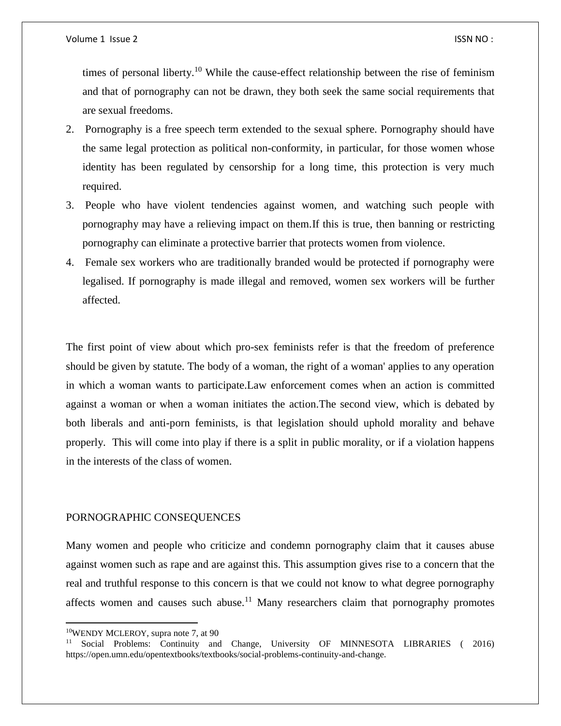times of personal liberty.<sup>10</sup> While the cause-effect relationship between the rise of feminism and that of pornography can not be drawn, they both seek the same social requirements that are sexual freedoms.

- 2. Pornography is a free speech term extended to the sexual sphere. Pornography should have the same legal protection as political non-conformity, in particular, for those women whose identity has been regulated by censorship for a long time, this protection is very much required.
- 3. People who have violent tendencies against women, and watching such people with pornography may have a relieving impact on them.If this is true, then banning or restricting pornography can eliminate a protective barrier that protects women from violence.
- 4. Female sex workers who are traditionally branded would be protected if pornography were legalised. If pornography is made illegal and removed, women sex workers will be further affected.

The first point of view about which pro-sex feminists refer is that the freedom of preference should be given by statute. The body of a woman, the right of a woman' applies to any operation in which a woman wants to participate.Law enforcement comes when an action is committed against a woman or when a woman initiates the action.The second view, which is debated by both liberals and anti-porn feminists, is that legislation should uphold morality and behave properly. This will come into play if there is a split in public morality, or if a violation happens in the interests of the class of women.

#### PORNOGRAPHIC CONSEQUENCES

Many women and people who criticize and condemn pornography claim that it causes abuse against women such as rape and are against this. This assumption gives rise to a concern that the real and truthful response to this concern is that we could not know to what degree pornography affects women and causes such abuse.<sup>11</sup> Many researchers claim that pornography promotes

 $\overline{\phantom{a}}$ 

<sup>10</sup>WENDY MCLEROY, supra note 7, at 90

<sup>&</sup>lt;sup>11</sup> Social Problems: Continuity and Change, University OF MINNESOTA LIBRARIES (2016) https://open.umn.edu/opentextbooks/textbooks/social-problems-continuity-and-change.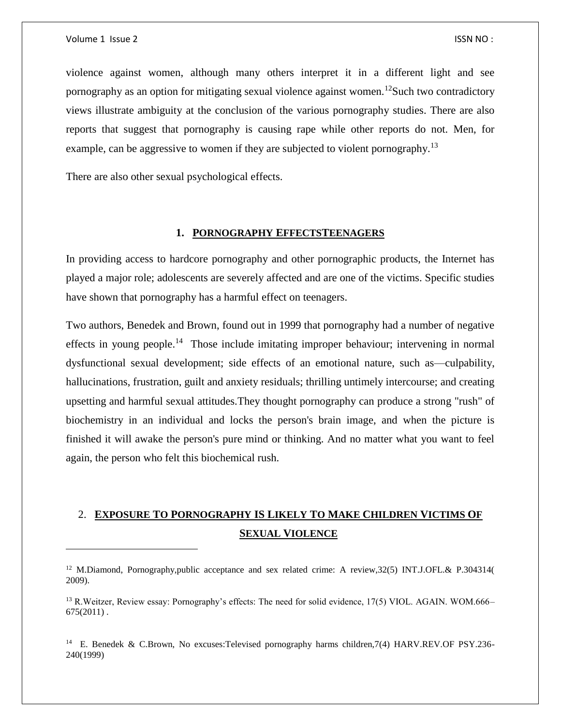$\overline{a}$ 

violence against women, although many others interpret it in a different light and see pornography as an option for mitigating sexual violence against women.<sup>12</sup>Such two contradictory views illustrate ambiguity at the conclusion of the various pornography studies. There are also reports that suggest that pornography is causing rape while other reports do not. Men, for example, can be aggressive to women if they are subjected to violent pornography.<sup>13</sup>

There are also other sexual psychological effects.

#### **1. PORNOGRAPHY EFFECTSTEENAGERS**

In providing access to hardcore pornography and other pornographic products, the Internet has played a major role; adolescents are severely affected and are one of the victims. Specific studies have shown that pornography has a harmful effect on teenagers.

Two authors, Benedek and Brown, found out in 1999 that pornography had a number of negative effects in young people.<sup>14</sup> Those include imitating improper behaviour; intervening in normal dysfunctional sexual development; side effects of an emotional nature, such as—culpability, hallucinations, frustration, guilt and anxiety residuals; thrilling untimely intercourse; and creating upsetting and harmful sexual attitudes.They thought pornography can produce a strong "rush" of biochemistry in an individual and locks the person's brain image, and when the picture is finished it will awake the person's pure mind or thinking. And no matter what you want to feel again, the person who felt this biochemical rush.

## 2. **EXPOSURE TO PORNOGRAPHY IS LIKELY TO MAKE CHILDREN VICTIMS OF SEXUAL VIOLENCE**

<sup>&</sup>lt;sup>12</sup> M.Diamond, Pornography,public acceptance and sex related crime: A review, 32(5) INT.J.OFL.& P.304314( 2009).

<sup>&</sup>lt;sup>13</sup> R.Weitzer, Review essay: Pornography's effects: The need for solid evidence, 17(5) VIOL. AGAIN. WOM.666–  $675(2011)$ .

<sup>&</sup>lt;sup>14</sup> E. Benedek & C.Brown, No excuses: Televised pornography harms children, 7(4) HARV.REV.OF PSY.236-240(1999)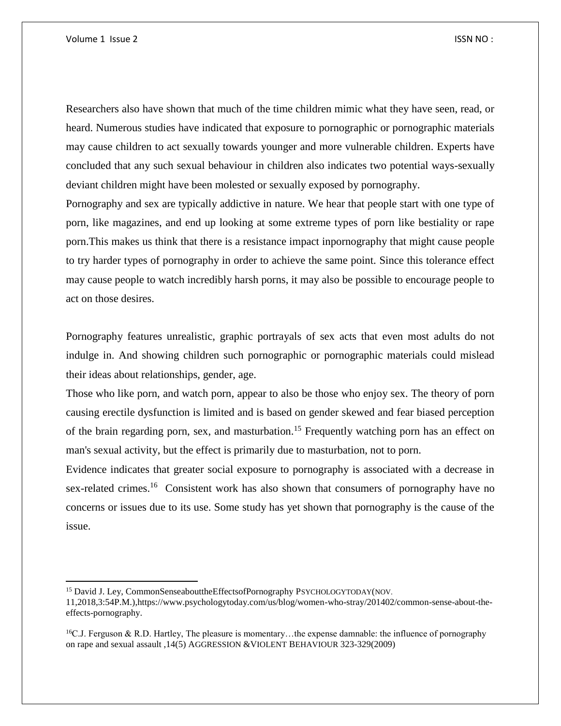$\overline{\phantom{a}}$ 

Researchers also have shown that much of the time children mimic what they have seen, read, or heard. Numerous studies have indicated that exposure to pornographic or pornographic materials may cause children to act sexually towards younger and more vulnerable children. Experts have concluded that any such sexual behaviour in children also indicates two potential ways-sexually deviant children might have been molested or sexually exposed by pornography.

Pornography and sex are typically addictive in nature. We hear that people start with one type of porn, like magazines, and end up looking at some extreme types of porn like bestiality or rape porn.This makes us think that there is a resistance impact inpornography that might cause people to try harder types of pornography in order to achieve the same point. Since this tolerance effect may cause people to watch incredibly harsh porns, it may also be possible to encourage people to act on those desires.

Pornography features unrealistic, graphic portrayals of sex acts that even most adults do not indulge in. And showing children such pornographic or pornographic materials could mislead their ideas about relationships, gender, age.

Those who like porn, and watch porn, appear to also be those who enjoy sex. The theory of porn causing erectile dysfunction is limited and is based on gender skewed and fear biased perception of the brain regarding porn, sex, and masturbation.<sup>15</sup> Frequently watching porn has an effect on man's sexual activity, but the effect is primarily due to masturbation, not to porn.

Evidence indicates that greater social exposure to pornography is associated with a decrease in sex-related crimes.<sup>16</sup> Consistent work has also shown that consumers of pornography have no concerns or issues due to its use. Some study has yet shown that pornography is the cause of the issue.

<sup>&</sup>lt;sup>15</sup> David J. Ley, CommonSenseabouttheEffectsofPornography PSYCHOLOGYTODAY(NOV.

<sup>11,2018,3:54</sup>P.M.),https://www.psychologytoday.com/us/blog/women-who-stray/201402/common-sense-about-theeffects-pornography.

 $^{16}$ C.J. Ferguson & R.D. Hartley, The pleasure is momentary...the expense damnable: the influence of pornography on rape and sexual assault ,14(5) AGGRESSION &VIOLENT BEHAVIOUR 323-329(2009)